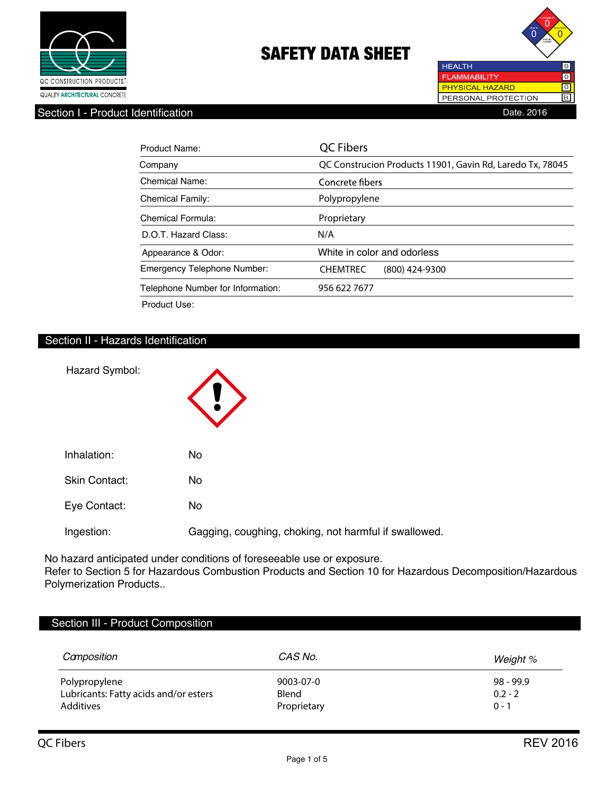



Section I - Product Identification **Date.** 2016

| Product Name:                      | <b>QC Fibers</b>                                          |
|------------------------------------|-----------------------------------------------------------|
| Company                            | QC Construcion Products 11901, Gavin Rd, Laredo Tx, 78045 |
| Chemical Name:                     | Concrete fibers                                           |
| <b>Chemical Family:</b>            | Polypropylene                                             |
| Chemical Formula:                  | Proprietary                                               |
| D.O.T. Hazard Class:               | N/A                                                       |
| Appearance & Odor:                 | White in color and odorless                               |
| <b>Emergency Telephone Number:</b> | <b>CHEMTREC</b><br>(800) 424-9300                         |
| Telephone Number for Information:  | 956 622 7677                                              |
| Product Use:                       |                                                           |

# Section II - Hazards Identification

| Hazard Symbol:       |                                                       |
|----------------------|-------------------------------------------------------|
| Inhalation:          | <b>No</b>                                             |
| <b>Skin Contact:</b> | <b>No</b>                                             |
| Eye Contact:         | <b>No</b>                                             |
| Ingestion:           | Gagging, coughing, choking, not harmful if swallowed. |

No hazard anticipated under conditions of foreseeable use or exposure.

Refer to Section 5 for Hazardous Combustion Products and Section 10 for Hazardous Decomposition/Hazardous Polymerization Products..

| Section III - Product Composition     |             |             |
|---------------------------------------|-------------|-------------|
| Camposition                           | CAS No.     | Weight %    |
| Polypropylene                         | 9003-07-0   | $98 - 99.9$ |
| Lubricants: Fatty acids and/or esters | Blend       | $0.2 - 2$   |
| Additives                             | Proprietary | $0 - 1$     |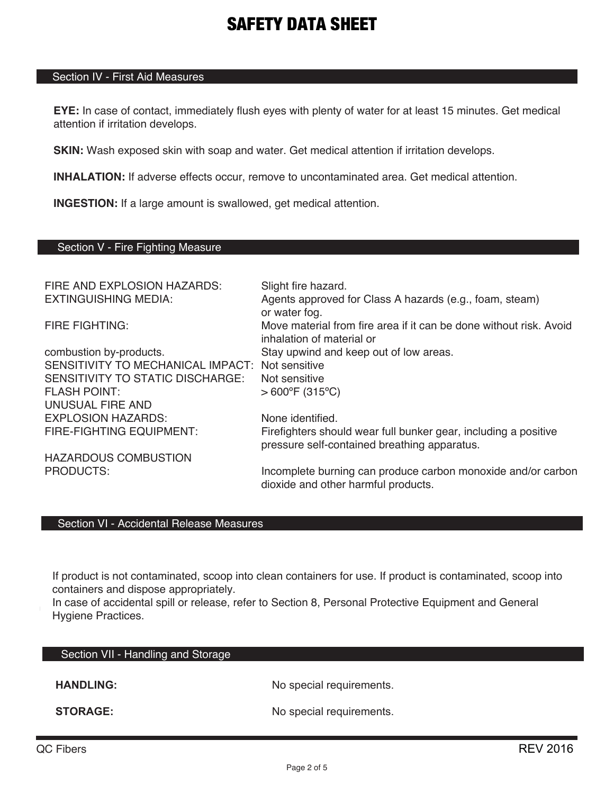# Section IV - First Aid Measures

**EYE:** In case of contact, immediately flush eyes with plenty of water for at least 15 minutes. Get medical attention if irritation develops.

**SKIN:** Wash exposed skin with soap and water. Get medical attention if irritation develops.

**INHALATION:** If adverse effects occur, remove to uncontaminated area. Get medical attention.

**INGESTION:** If a large amount is swallowed, get medical attention.

# Section V - Fire Fighting Measure

| FIRE AND EXPLOSION HAZARDS:       | Slight fire hazard.                                                                                             |
|-----------------------------------|-----------------------------------------------------------------------------------------------------------------|
| <b>EXTINGUISHING MEDIA:</b>       | Agents approved for Class A hazards (e.g., foam, steam)<br>or water fog.                                        |
| <b>FIRE FIGHTING:</b>             | Move material from fire area if it can be done without risk. Avoid<br>inhalation of material or                 |
| combustion by-products.           | Stay upwind and keep out of low areas.                                                                          |
| SENSITIVITY TO MECHANICAL IMPACT: | Not sensitive                                                                                                   |
| SENSITIVITY TO STATIC DISCHARGE:  | Not sensitive                                                                                                   |
| <b>FLASH POINT:</b>               | $>600^{\circ}$ F (315°C)                                                                                        |
| UNUSUAL FIRE AND                  |                                                                                                                 |
| <b>EXPLOSION HAZARDS:</b>         | None identified.                                                                                                |
| <b>FIRE-FIGHTING EQUIPMENT:</b>   | Firefighters should wear full bunker gear, including a positive<br>pressure self-contained breathing apparatus. |
| <b>HAZARDOUS COMBUSTION</b>       |                                                                                                                 |
| <b>PRODUCTS:</b>                  | Incomplete burning can produce carbon monoxide and/or carbon<br>dioxide and other harmful products.             |

## Section VI - Accidental Release Measures

If product is not contaminated, scoop into clean containers for use. If product is contaminated, scoop into containers and dispose appropriately.

In case of accidental spill or release, refer to Section 8, Personal Protective Equipment and General Hygiene Practices.

| Section VII - Handling and Storage |                          |
|------------------------------------|--------------------------|
| <b>HANDLING:</b>                   | No special requirements. |
| <b>STORAGE:</b>                    | No special requirements. |

L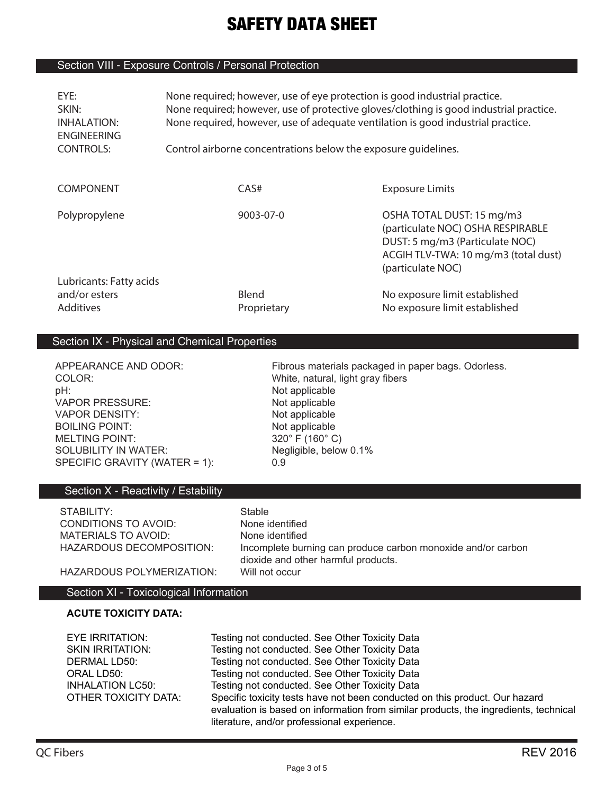# Section VIII - Exposure Controls / Personal Protection

| EYE:<br>SKIN:<br>INHALATION:<br><b>ENGINEERING</b><br><b>CONTROLS:</b> | None required; however, use of eye protection is good industrial practice.<br>None required; however, use of protective gloves/clothing is good industrial practice.<br>None required, however, use of adequate ventilation is good industrial practice.<br>Control airborne concentrations below the exposure quidelines. |  |                                                                                                                                                                |
|------------------------------------------------------------------------|----------------------------------------------------------------------------------------------------------------------------------------------------------------------------------------------------------------------------------------------------------------------------------------------------------------------------|--|----------------------------------------------------------------------------------------------------------------------------------------------------------------|
| <b>COMPONENT</b>                                                       | CAS#                                                                                                                                                                                                                                                                                                                       |  | <b>Exposure Limits</b>                                                                                                                                         |
| Polypropylene                                                          | $9003 - 07 - 0$                                                                                                                                                                                                                                                                                                            |  | OSHA TOTAL DUST: 15 mg/m3<br>(particulate NOC) OSHA RESPIRABLE<br>DUST: 5 mg/m3 (Particulate NOC)<br>ACGIH TLV-TWA: 10 mg/m3 (total dust)<br>(particulate NOC) |
| Lubricants: Fatty acids<br>and/or esters<br><b>Additives</b>           | Blend<br>Proprietary                                                                                                                                                                                                                                                                                                       |  | No exposure limit established<br>No exposure limit established                                                                                                 |

## Section IX - Physical and Chemical Properties

COLOR: White, natural, light gray fibers pH:<br>
VAPOR PRESSURE:<br>
VAPOR PRESSURE:<br>
COMEXANDENT MOTOROPOROUS VAPOR PRESSURE:<br>
VAPOR DENSITY: Not applicable<br>
Not applicable VAPOR DENSITY: BOILING POINT:<br>
MELTING POINT: 
Not applicable<br>
320° F (160° C) MELTING POINT: SOLUBILITY IN WATER: Negligible, below 0.1% SPECIFIC GRAVITY (WATER = 1): 0.9

APPEARANCE AND ODOR: Fibrous materials packaged in paper bags. Odorless.

# Section X - Reactivity / Estability

| STABILITY:               | Stable |
|--------------------------|--------|
| CONDITIONS TO AVOID:     | None i |
| MATERIALS TO AVOID:      | None i |
| HAZARDOUS DECOMPOSITION: | Incom  |
|                          |        |

None identified None identified Incomplete burning can produce carbon monoxide and/or carbon dioxide and other harmful products. HAZARDOUS POLYMERIZATION: Will not occur

# Section XI - Toxicological Information

# **ACUTE TOXICITY DATA:**

| EYE IRRITATION:         | Testing not conducted. See Other Toxicity Data                                                                                                                                                                     |
|-------------------------|--------------------------------------------------------------------------------------------------------------------------------------------------------------------------------------------------------------------|
| <b>SKIN IRRITATION:</b> | Testing not conducted. See Other Toxicity Data                                                                                                                                                                     |
| DERMAL LD50:            | Testing not conducted. See Other Toxicity Data                                                                                                                                                                     |
| ORAL LD50:              | Testing not conducted. See Other Toxicity Data                                                                                                                                                                     |
| <b>INHALATION LC50:</b> | Testing not conducted. See Other Toxicity Data                                                                                                                                                                     |
| OTHER TOXICITY DATA:    | Specific toxicity tests have not been conducted on this product. Our hazard<br>evaluation is based on information from similar products, the ingredients, technical<br>literature, and/or professional experience. |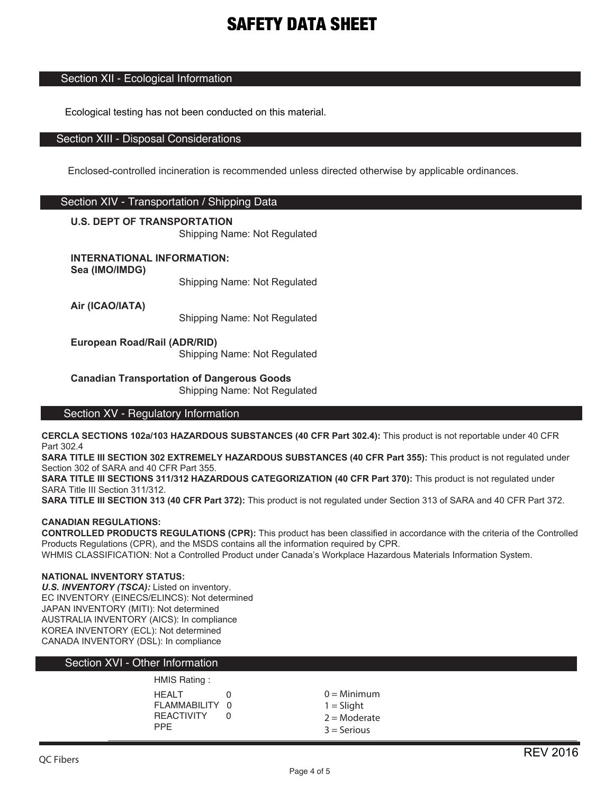## Section XII - Ecological Information

Ecological testing has not been conducted on this material.

#### Section XIII - Disposal Considerations

Enclosed-controlled incineration is recommended unless directed otherwise by applicable ordinances.

# Section XIV - Transportation / Shipping Data

#### **U.S. DEPT OF TRANSPORTATION**

Shipping Name: Not Regulated

**INTERNATIONAL INFORMATION:**

**Sea (IMO/IMDG)**

Shipping Name: Not Regulated

**Air (ICAO/IATA)**

Shipping Name: Not Regulated

**European Road/Rail (ADR/RID)**

Shipping Name: Not Regulated

**Canadian Transportation of Dangerous Goods** Shipping Name: Not Regulated

#### Section XV - Regulatory Information

**CERCLA SECTIONS 102a/103 HAZARDOUS SUBSTANCES (40 CFR Part 302.4):** This product is not reportable under 40 CFR Part 302.4

**SARA TITLE III SECTION 302 EXTREMELY HAZARDOUS SUBSTANCES (40 CFR Part 355):** This product is not regulated under Section 302 of SARA and 40 CFR Part 355.

**SARA TITLE III SECTIONS 311/312 HAZARDOUS CATEGORIZATION (40 CFR Part 370):** This product is not regulated under SARA Title III Section 311/312.

**SARA TITLE III SECTION 313 (40 CFR Part 372):** This product is not regulated under Section 313 of SARA and 40 CFR Part 372.

#### **CANADIAN REGULATIONS:**

**CONTROLLED PRODUCTS REGULATIONS (CPR):** This product has been classified in accordance with the criteria of the Controlled Products Regulations (CPR), and the MSDS contains all the information required by CPR.

WHMIS CLASSIFICATION: Not a Controlled Product under Canada's Workplace Hazardous Materials Information System.

#### **NATIONAL INVENTORY STATUS:**

*U.S. INVENTORY (TSCA):* Listed on inventory. EC INVENTORY (EINECS/ELINCS): Not determined JAPAN INVENTORY (MITI): Not determined AUSTRALIA INVENTORY (AICS): In compliance KOREA INVENTORY (ECL): Not determined CANADA INVENTORY (DSL): In compliance

## Section XVI - Other Information

#### HMIS Rating :

| <b>HEALT</b>      | U |
|-------------------|---|
| FLAMMABILITY 0    |   |
| <b>REACTIVITY</b> | U |
| <b>PPF</b>        |   |

 $0 =$ Minimum  $1 =$  Slight  $2 =$ Moderate 3 = Serious